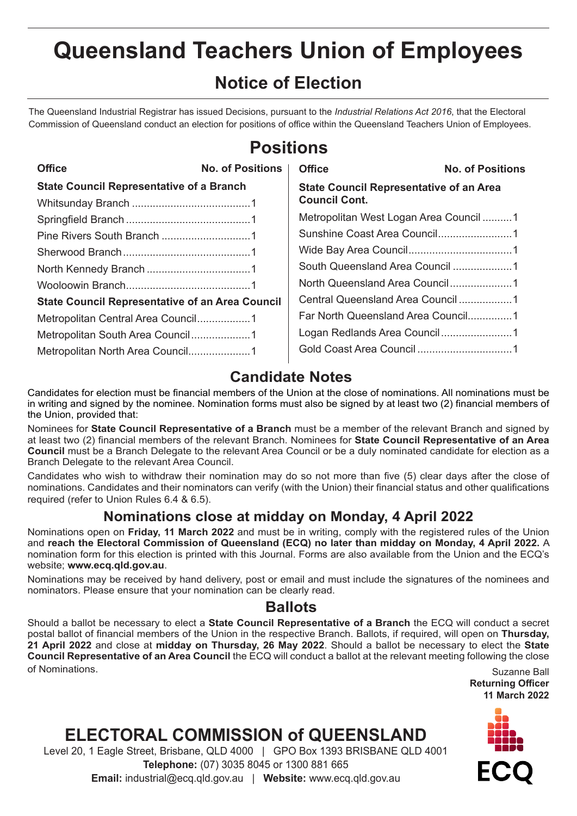# **Queensland Teachers Union of Employees**

### **Notice of Election**

The Queensland Industrial Registrar has issued Decisions, pursuant to the *Industrial Relations Act 2016*, that the Electoral Commission of Queensland conduct an election for positions of office within the Queensland Teachers Union of Employees.

| <b>Office</b><br><b>No. of Positions</b>       |  |  |
|------------------------------------------------|--|--|
| <b>State Council Representative of an Area</b> |  |  |
| <b>Council Cont.</b>                           |  |  |
| Metropolitan West Logan Area Council1          |  |  |
|                                                |  |  |
|                                                |  |  |
|                                                |  |  |
|                                                |  |  |
|                                                |  |  |
| Far North Queensland Area Council1             |  |  |
|                                                |  |  |
|                                                |  |  |
|                                                |  |  |

# **Positions**

### **Candidate Notes**

Candidates for election must be financial members of the Union at the close of nominations. All nominations must be in writing and signed by the nominee. Nomination forms must also be signed by at least two (2) financial members of the Union, provided that:

Nominees for **State Council Representative of a Branch** must be a member of the relevant Branch and signed by at least two (2) financial members of the relevant Branch. Nominees for **State Council Representative of an Area Council** must be a Branch Delegate to the relevant Area Council or be a duly nominated candidate for election as a Branch Delegate to the relevant Area Council.

Candidates who wish to withdraw their nomination may do so not more than five (5) clear days after the close of nominations. Candidates and their nominators can verify (with the Union) their financial status and other qualifications required (refer to Union Rules 6.4 & 6.5).

### **Nominations close at midday on Monday, 4 April 2022**

Nominations open on **Friday, 11 March 2022** and must be in writing, comply with the registered rules of the Union and **reach the Electoral Commission of Queensland (ECQ) no later than midday on Monday, 4 April 2022.** A nomination form for this election is printed with this Journal. Forms are also available from the Union and the ECQ's website; **www.ecq.qld.gov.au**.

Nominations may be received by hand delivery, post or email and must include the signatures of the nominees and nominators. Please ensure that your nomination can be clearly read.

### **Ballots**

Should a ballot be necessary to elect a **State Council Representative of a Branch** the ECQ will conduct a secret postal ballot of financial members of the Union in the respective Branch. Ballots, if required, will open on **Thursday, 21 April 2022** and close at **midday on Thursday, 26 May 2022**. Should a ballot be necessary to elect the **State Council Representative of an Area Council** the ECQ will conduct a ballot at the relevant meeting following the close of Nominations. Suzanne Ball

**Returning Officer 11 March 2022**

# **ELECTORAL COMMISSION of QUEENSLAND**

Level 20, 1 Eagle Street, Brisbane, QLD 4000 | GPO Box 1393 BRISBANE QLD 4001 **Telephone:** (07) 3035 8045 or 1300 881 665 **Email:** industrial@ecq.qld.gov.au | **Website:** www.ecq.qld.gov.au